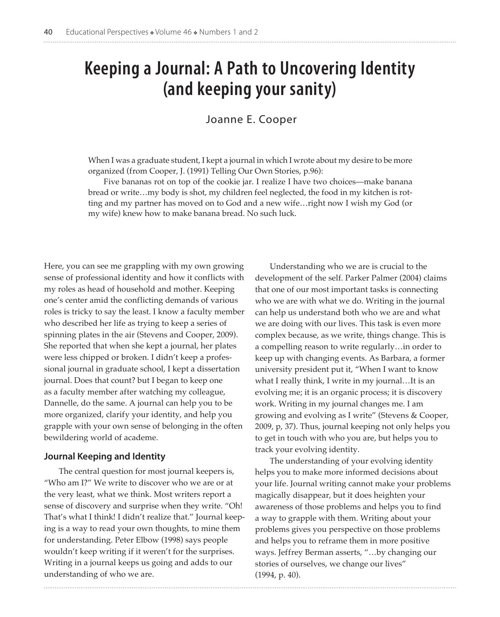# **Keeping a Journal: A Path to Uncovering Identity (and keeping your sanity)**

# Joanne E. Cooper

When I was a graduate student, I kept a journal in which I wrote about my desire to be more organized (from Cooper, J. (1991) Telling Our Own Stories, p.96):

Five bananas rot on top of the cookie jar. I realize I have two choices—make banana bread or write…my body is shot, my children feel neglected, the food in my kitchen is rotting and my partner has moved on to God and a new wife…right now I wish my God (or my wife) knew how to make banana bread. No such luck.

Here, you can see me grappling with my own growing sense of professional identity and how it conflicts with my roles as head of household and mother. Keeping one's center amid the conflicting demands of various roles is tricky to say the least. I know a faculty member who described her life as trying to keep a series of spinning plates in the air (Stevens and Cooper, 2009). She reported that when she kept a journal, her plates were less chipped or broken. I didn't keep a professional journal in graduate school, I kept a dissertation journal. Does that count? but I began to keep one as a faculty member after watching my colleague, Dannelle, do the same. A journal can help you to be more organized, clarify your identity, and help you grapple with your own sense of belonging in the often bewildering world of academe.

#### **Journal Keeping and Identity**

The central question for most journal keepers is, "Who am I?" We write to discover who we are or at the very least, what we think. Most writers report a sense of discovery and surprise when they write. "Oh! That's what I think! I didn't realize that." Journal keeping is a way to read your own thoughts, to mine them for understanding. Peter Elbow (1998) says people wouldn't keep writing if it weren't for the surprises. Writing in a journal keeps us going and adds to our understanding of who we are.

Understanding who we are is crucial to the development of the self. Parker Palmer (2004) claims that one of our most important tasks is connecting who we are with what we do. Writing in the journal can help us understand both who we are and what we are doing with our lives. This task is even more complex because, as we write, things change. This is a compelling reason to write regularly…in order to keep up with changing events. As Barbara, a former university president put it, "When I want to know what I really think, I write in my journal…It is an evolving me; it is an organic process; it is discovery work. Writing in my journal changes me. I am growing and evolving as I write" (Stevens & Cooper, 2009, p, 37). Thus, journal keeping not only helps you to get in touch with who you are, but helps you to track your evolving identity.

The understanding of your evolving identity helps you to make more informed decisions about your life. Journal writing cannot make your problems magically disappear, but it does heighten your awareness of those problems and helps you to find a way to grapple with them. Writing about your problems gives you perspective on those problems and helps you to reframe them in more positive ways. Jeffrey Berman asserts, "…by changing our stories of ourselves, we change our lives" (1994, p. 40).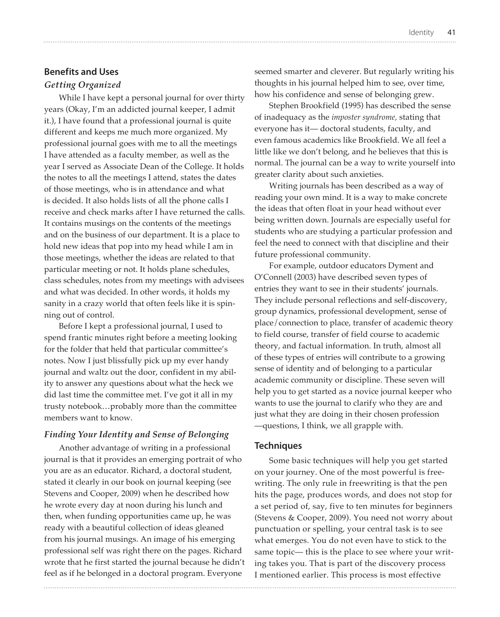## **Benefits and Uses**

### *Getting Organized*

While I have kept a personal journal for over thirty years (Okay, I'm an addicted journal keeper, I admit it.), I have found that a professional journal is quite different and keeps me much more organized. My professional journal goes with me to all the meetings I have attended as a faculty member, as well as the year I served as Associate Dean of the College. It holds the notes to all the meetings I attend, states the dates of those meetings, who is in attendance and what is decided. It also holds lists of all the phone calls I receive and check marks after I have returned the calls. It contains musings on the contents of the meetings and on the business of our department. It is a place to hold new ideas that pop into my head while I am in those meetings, whether the ideas are related to that particular meeting or not. It holds plane schedules, class schedules, notes from my meetings with advisees and what was decided. In other words, it holds my sanity in a crazy world that often feels like it is spinning out of control.

Before I kept a professional journal, I used to spend frantic minutes right before a meeting looking for the folder that held that particular committee's notes. Now I just blissfully pick up my ever handy journal and waltz out the door, confident in my ability to answer any questions about what the heck we did last time the committee met. I've got it all in my trusty notebook…probably more than the committee members want to know.

## *Finding Your Identity and Sense of Belonging*

Another advantage of writing in a professional journal is that it provides an emerging portrait of who you are as an educator. Richard, a doctoral student, stated it clearly in our book on journal keeping (see Stevens and Cooper, 2009) when he described how he wrote every day at noon during his lunch and then, when funding opportunities came up, he was ready with a beautiful collection of ideas gleaned from his journal musings. An image of his emerging professional self was right there on the pages. Richard wrote that he first started the journal because he didn't feel as if he belonged in a doctoral program. Everyone

seemed smarter and cleverer. But regularly writing his thoughts in his journal helped him to see, over time, how his confidence and sense of belonging grew.

Stephen Brookfield (1995) has described the sense of inadequacy as the *imposter syndrome,* stating that everyone has it— doctoral students, faculty, and even famous academics like Brookfield. We all feel a little like we don't belong, and he believes that this is normal. The journal can be a way to write yourself into greater clarity about such anxieties.

Writing journals has been described as a way of reading your own mind. It is a way to make concrete the ideas that often float in your head without ever being written down. Journals are especially useful for students who are studying a particular profession and feel the need to connect with that discipline and their future professional community.

For example, outdoor educators Dyment and O'Connell (2003) have described seven types of entries they want to see in their students' journals. They include personal reflections and self-discovery, group dynamics, professional development, sense of place/connection to place, transfer of academic theory to field course, transfer of field course to academic theory, and factual information. In truth, almost all of these types of entries will contribute to a growing sense of identity and of belonging to a particular academic community or discipline. These seven will help you to get started as a novice journal keeper who wants to use the journal to clarify who they are and just what they are doing in their chosen profession —questions, I think, we all grapple with.

#### **Techniques**

Some basic techniques will help you get started on your journey. One of the most powerful is freewriting. The only rule in freewriting is that the pen hits the page, produces words, and does not stop for a set period of, say, five to ten minutes for beginners (Stevens & Cooper, 2009). You need not worry about punctuation or spelling, your central task is to see what emerges. You do not even have to stick to the same topic— this is the place to see where your writing takes you. That is part of the discovery process I mentioned earlier. This process is most effective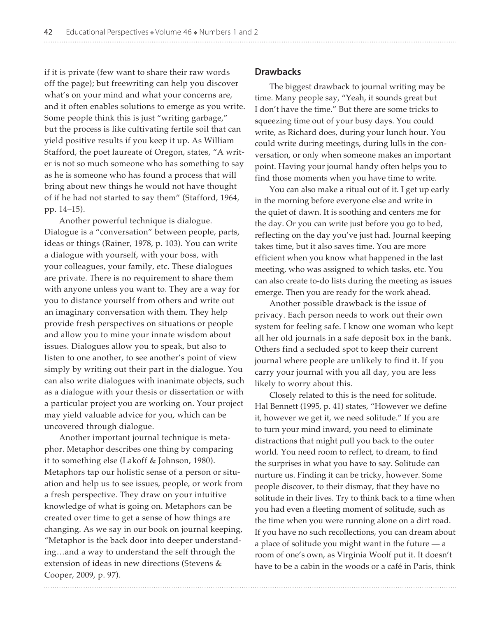if it is private (few want to share their raw words off the page); but freewriting can help you discover what's on your mind and what your concerns are, and it often enables solutions to emerge as you write. Some people think this is just "writing garbage," but the process is like cultivating fertile soil that can yield positive results if you keep it up. As William Stafford, the poet laureate of Oregon, states, "A writer is not so much someone who has something to say as he is someone who has found a process that will bring about new things he would not have thought of if he had not started to say them" (Stafford, 1964, pp. 14–15).

Another powerful technique is dialogue. Dialogue is a "conversation" between people, parts, ideas or things (Rainer, 1978, p. 103). You can write a dialogue with yourself, with your boss, with your colleagues, your family, etc. These dialogues are private. There is no requirement to share them with anyone unless you want to. They are a way for you to distance yourself from others and write out an imaginary conversation with them. They help provide fresh perspectives on situations or people and allow you to mine your innate wisdom about issues. Dialogues allow you to speak, but also to listen to one another, to see another's point of view simply by writing out their part in the dialogue. You can also write dialogues with inanimate objects, such as a dialogue with your thesis or dissertation or with a particular project you are working on. Your project may yield valuable advice for you, which can be uncovered through dialogue.

Another important journal technique is metaphor. Metaphor describes one thing by comparing it to something else (Lakoff & Johnson, 1980). Metaphors tap our holistic sense of a person or situation and help us to see issues, people, or work from a fresh perspective. They draw on your intuitive knowledge of what is going on. Metaphors can be created over time to get a sense of how things are changing. As we say in our book on journal keeping, "Metaphor is the back door into deeper understanding…and a way to understand the self through the extension of ideas in new directions (Stevens & Cooper, 2009, p. 97).

#### **Drawbacks**

The biggest drawback to journal writing may be time. Many people say, "Yeah, it sounds great but I don't have the time." But there are some tricks to squeezing time out of your busy days. You could write, as Richard does, during your lunch hour. You could write during meetings, during lulls in the conversation, or only when someone makes an important point. Having your journal handy often helps you to find those moments when you have time to write.

You can also make a ritual out of it. I get up early in the morning before everyone else and write in the quiet of dawn. It is soothing and centers me for the day. Or you can write just before you go to bed, reflecting on the day you've just had. Journal keeping takes time, but it also saves time. You are more efficient when you know what happened in the last meeting, who was assigned to which tasks, etc. You can also create to-do lists during the meeting as issues emerge. Then you are ready for the work ahead.

Another possible drawback is the issue of privacy. Each person needs to work out their own system for feeling safe. I know one woman who kept all her old journals in a safe deposit box in the bank. Others find a secluded spot to keep their current journal where people are unlikely to find it. If you carry your journal with you all day, you are less likely to worry about this.

Closely related to this is the need for solitude. Hal Bennett (1995, p. 41) states, "However we define it, however we get it, we need solitude." If you are to turn your mind inward, you need to eliminate distractions that might pull you back to the outer world. You need room to reflect, to dream, to find the surprises in what you have to say. Solitude can nurture us. Finding it can be tricky, however. Some people discover, to their dismay, that they have no solitude in their lives. Try to think back to a time when you had even a fleeting moment of solitude, such as the time when you were running alone on a dirt road. If you have no such recollections, you can dream about a place of solitude you might want in the future — a room of one's own, as Virginia Woolf put it. It doesn't have to be a cabin in the woods or a café in Paris, think